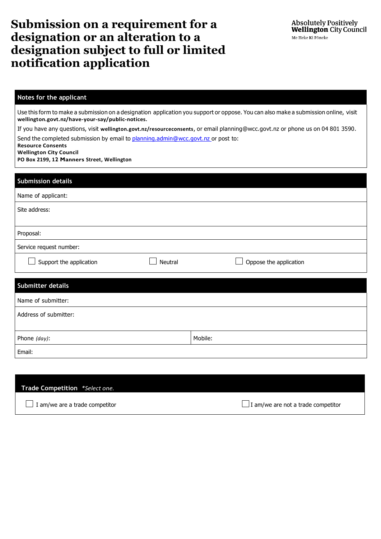## **Submission on a requirement for a designation or an alteration to a designation subject to full or limited notification application**

## **Notes for the applicant**

Use this form to make a submission on a designation application you support or oppose. You can also make a submission online, visit **[wellington.govt.nz/have-your-say/public-notices](http://wellington.govt.nz/have-your-say/public-notices)**.

If you have any questions, visit **[wellington.govt.nz/resourceconsents](http://wellington.govt.nz/resourceconsents)**, or email [planning@wcc.govt.nz](mailto:planning@wcc.govt.nz) or phone us on 04 801 3590.

Send the completed submission by email to [planning.admin@wcc.govt.nz](mailto:planning.admin@wcc.govt.nz) or post to:

**Resource Consents** 

**Wellington City Council**

**PO Box 2199, 12 Manners Street, Wellington**

| <b>Submission details</b> |         |                        |
|---------------------------|---------|------------------------|
| Name of applicant:        |         |                        |
| Site address:             |         |                        |
|                           |         |                        |
| Proposal:                 |         |                        |
| Service request number:   |         |                        |
| Support the application   | Neutral | Oppose the application |
|                           |         |                        |
| Submitter details         |         |                        |
| Name of submitter:        |         |                        |

| Address of submitter: |         |
|-----------------------|---------|
| Phone (day):          | Mobile: |
| Email:                |         |

| <b>Trade Competition</b> *Select one. |                                           |
|---------------------------------------|-------------------------------------------|
| $\Box$ I am/we are a trade competitor | $\Box$ I am/we are not a trade competitor |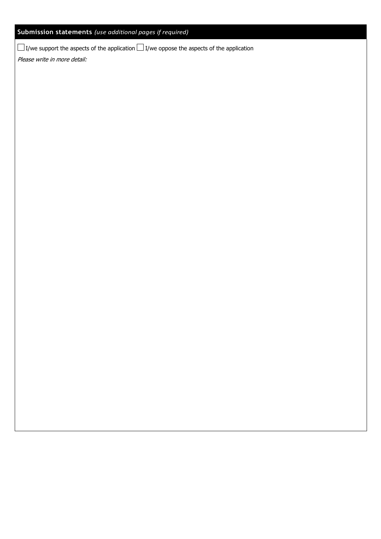## **Submission statements** *(use additional pages if required)*

 $\Box$  I/we support the aspects of the application  $\Box$  I/we oppose the aspects of the application

Please write in more detail: